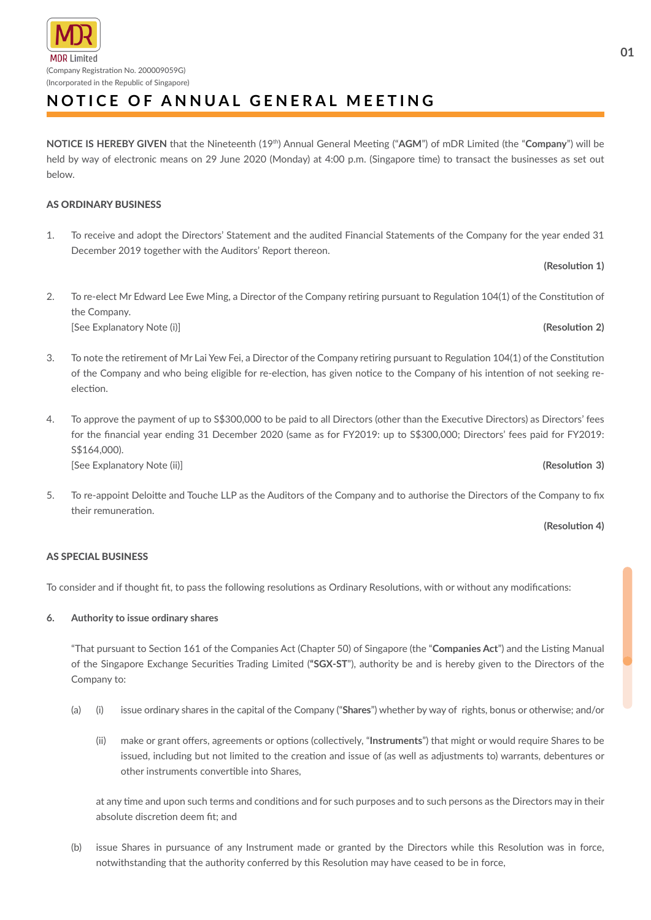# ADR I imited (Company Registration No. 200009059G) (Incorporated in the Republic of Singapore)

# **NOTICE OF ANNUAL GENERAL MEETING**

**NOTICE IS HEREBY GIVEN** that the Nineteenth (19th) Annual General Meeting ("**AGM**") of mDR Limited (the "**Company**") will be held by way of electronic means on 29 June 2020 (Monday) at 4:00 p.m. (Singapore time) to transact the businesses as set out below.

# AS ORDINARY BUSINESS

1. To receive and adopt the Directors' Statement and the audited Financial Statements of the Company for the year ended 31 December 2019 together with the Auditors' Report thereon.

# 2. To re-elect Mr Edward Lee Ewe Ming, a Director of the Company retiring pursuant to Regulation 104(1) of the Constitution of the Company.

[See Explanatory Note (i)] **(Resolution 2)**

- 3. To note the retirement of Mr Lai Yew Fei, a Director of the Company retiring pursuant to Regulation 104(1) of the Constitution of the Company and who being eligible for re-election, has given notice to the Company of his intention of not seeking reelection.
- 4. To approve the payment of up to S\$300,000 to be paid to all Directors (other than the Executive Directors) as Directors' fees for the financial year ending 31 December 2020 (same as for FY2019: up to S\$300,000; Directors' fees paid for FY2019: S\$164,000). [See Explanatory Note (ii)] **(Resolution 3)**

5. To re-appoint Deloitte and Touche LLP as the Auditors of the Company and to authorise the Directors of the Company to fix their remuneration.

## **(Resolution 4)**

# AS SPECIAL BUSINESS

To consider and if thought fit, to pass the following resolutions as Ordinary Resolutions, with or without any modifications:

# **6. Authority to issue ordinary shares**

"That pursuant to Section 161 of the Companies Act (Chapter 50) of Singapore (the "**Companies Act**") and the Listing Manual of the Singapore Exchange Securities Trading Limited (**"SGX-ST**"), authority be and is hereby given to the Directors of the Company to:

- (a) (i) issue ordinary shares in the capital of the Company ("**Shares**") whether by way of rights, bonus or otherwise; and/or
	- (ii) make or grant offers, agreements or options (collectively, "**Instruments**") that might or would require Shares to be issued, including but not limited to the creation and issue of (as well as adjustments to) warrants, debentures or other instruments convertible into Shares,

at any time and upon such terms and conditions and for such purposes and to such persons as the Directors may in their absolute discretion deem fit; and

(b) issue Shares in pursuance of any Instrument made or granted by the Directors while this Resolution was in force, notwithstanding that the authority conferred by this Resolution may have ceased to be in force,

**(Resolution 1)**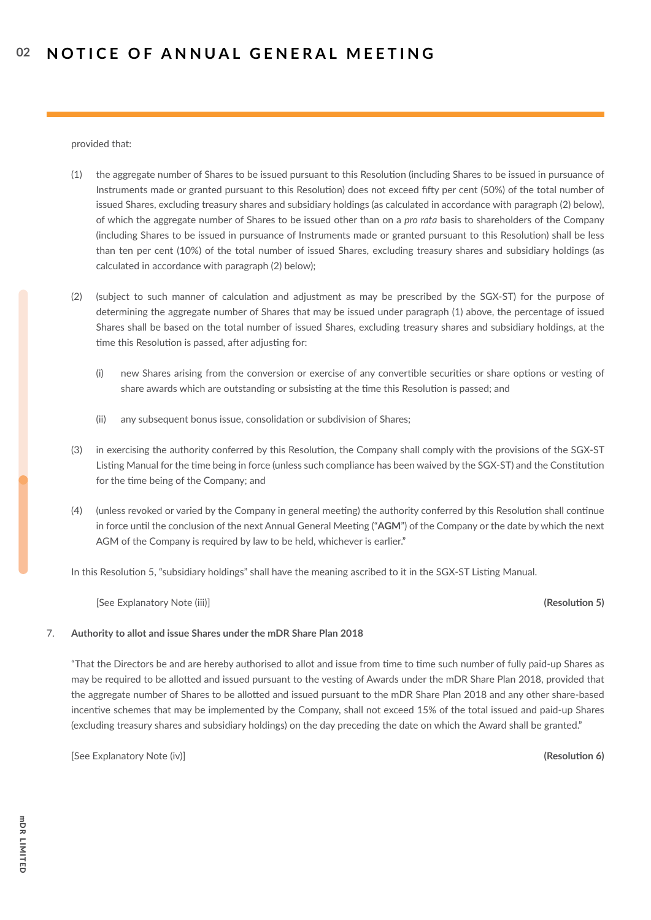provided that:

- (1) the aggregate number of Shares to be issued pursuant to this Resolution (including Shares to be issued in pursuance of Instruments made or granted pursuant to this Resolution) does not exceed fifty per cent (50%) of the total number of issued Shares, excluding treasury shares and subsidiary holdings (as calculated in accordance with paragraph (2) below), of which the aggregate number of Shares to be issued other than on a *pro rata* basis to shareholders of the Company (including Shares to be issued in pursuance of Instruments made or granted pursuant to this Resolution) shall be less than ten per cent (10%) of the total number of issued Shares, excluding treasury shares and subsidiary holdings (as calculated in accordance with paragraph (2) below);
- (2) (subject to such manner of calculation and adjustment as may be prescribed by the SGX-ST) for the purpose of determining the aggregate number of Shares that may be issued under paragraph (1) above, the percentage of issued Shares shall be based on the total number of issued Shares, excluding treasury shares and subsidiary holdings, at the time this Resolution is passed, after adjusting for:
	- (i) new Shares arising from the conversion or exercise of any convertible securities or share options or vesting of share awards which are outstanding or subsisting at the time this Resolution is passed; and
	- (ii) any subsequent bonus issue, consolidation or subdivision of Shares;
- (3) in exercising the authority conferred by this Resolution, the Company shall comply with the provisions of the SGX-ST Listing Manual for the time being in force (unless such compliance has been waived by the SGX-ST) and the Constitution for the time being of the Company; and
- (4) (unless revoked or varied by the Company in general meeting) the authority conferred by this Resolution shall continue in force until the conclusion of the next Annual General Meeting ("**AGM**") of the Company or the date by which the next AGM of the Company is required by law to be held, whichever is earlier."

In this Resolution 5, "subsidiary holdings" shall have the meaning ascribed to it in the SGX-ST Listing Manual.

[See Explanatory Note (iii)] **(Resolution 5)**

## 7. **Authority to allot and issue Shares under the mDR Share Plan 2018**

"That the Directors be and are hereby authorised to allot and issue from time to time such number of fully paid-up Shares as may be required to be allotted and issued pursuant to the vesting of Awards under the mDR Share Plan 2018, provided that the aggregate number of Shares to be allotted and issued pursuant to the mDR Share Plan 2018 and any other share-based incentive schemes that may be implemented by the Company, shall not exceed 15% of the total issued and paid-up Shares (excluding treasury shares and subsidiary holdings) on the day preceding the date on which the Award shall be granted."

[See Explanatory Note (iv)] **(Resolution 6)**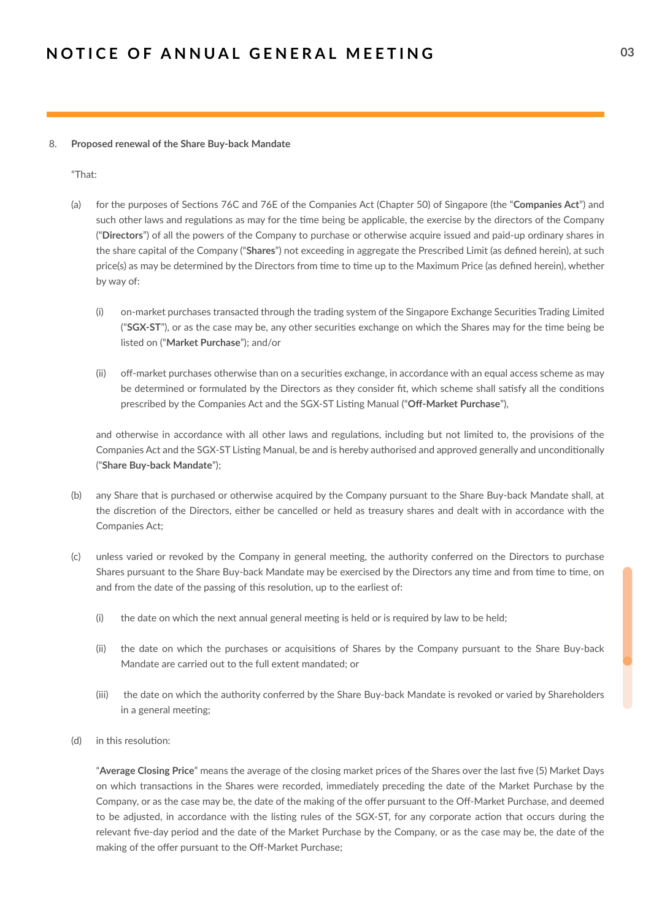### 8. **Proposed renewal of the Share Buy-back Mandate**

"That:

- (a) for the purposes of Sections 76C and 76E of the Companies Act (Chapter 50) of Singapore (the "**Companies Act**") and such other laws and regulations as may for the time being be applicable, the exercise by the directors of the Company ("**Directors**") of all the powers of the Company to purchase or otherwise acquire issued and paid-up ordinary shares in the share capital of the Company ("**Shares**") not exceeding in aggregate the Prescribed Limit (as defined herein), at such price(s) as may be determined by the Directors from time to time up to the Maximum Price (as defined herein), whether by way of:
	- (i) on-market purchases transacted through the trading system of the Singapore Exchange Securities Trading Limited ("**SGX-ST**"), or as the case may be, any other securities exchange on which the Shares may for the time being be listed on ("**Market Purchase**"); and/or
	- (ii) off-market purchases otherwise than on a securities exchange, in accordance with an equal access scheme as may be determined or formulated by the Directors as they consider fit, which scheme shall satisfy all the conditions prescribed by the Companies Act and the SGX-ST Listing Manual ("**Off-Market Purchase**"),

and otherwise in accordance with all other laws and regulations, including but not limited to, the provisions of the Companies Act and the SGX-ST Listing Manual, be and is hereby authorised and approved generally and unconditionally ("**Share Buy-back Mandate**");

- (b) any Share that is purchased or otherwise acquired by the Company pursuant to the Share Buy-back Mandate shall, at the discretion of the Directors, either be cancelled or held as treasury shares and dealt with in accordance with the Companies Act;
- (c) unless varied or revoked by the Company in general meeting, the authority conferred on the Directors to purchase Shares pursuant to the Share Buy-back Mandate may be exercised by the Directors any time and from time to time, on and from the date of the passing of this resolution, up to the earliest of:
	- (i) the date on which the next annual general meeting is held or is required by law to be held;
	- (ii) the date on which the purchases or acquisitions of Shares by the Company pursuant to the Share Buy-back Mandate are carried out to the full extent mandated; or
	- (iii) the date on which the authority conferred by the Share Buy-back Mandate is revoked or varied by Shareholders in a general meeting;
- (d) in this resolution:

"**Average Closing Price**" means the average of the closing market prices of the Shares over the last five (5) Market Days on which transactions in the Shares were recorded, immediately preceding the date of the Market Purchase by the Company, or as the case may be, the date of the making of the offer pursuant to the Off-Market Purchase, and deemed to be adjusted, in accordance with the listing rules of the SGX-ST, for any corporate action that occurs during the relevant five-day period and the date of the Market Purchase by the Company, or as the case may be, the date of the making of the offer pursuant to the Off-Market Purchase;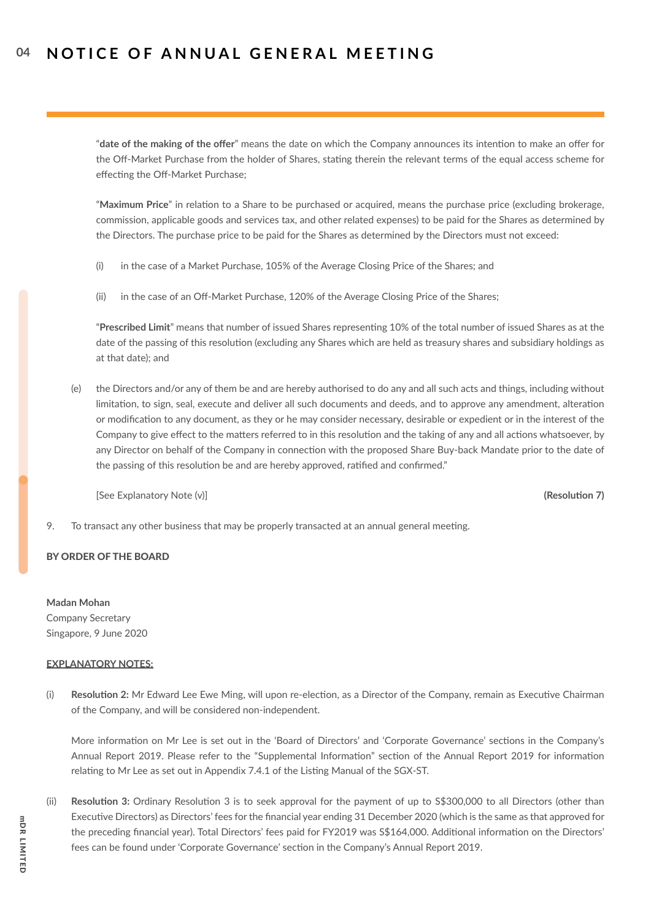"**date of the making of the offer**" means the date on which the Company announces its intention to make an offer for the Off-Market Purchase from the holder of Shares, stating therein the relevant terms of the equal access scheme for effecting the Off-Market Purchase;

"**Maximum Price**" in relation to a Share to be purchased or acquired, means the purchase price (excluding brokerage, commission, applicable goods and services tax, and other related expenses) to be paid for the Shares as determined by the Directors. The purchase price to be paid for the Shares as determined by the Directors must not exceed:

- (i) in the case of a Market Purchase, 105% of the Average Closing Price of the Shares; and
- (ii) in the case of an Off-Market Purchase, 120% of the Average Closing Price of the Shares;

"**Prescribed Limit**" means that number of issued Shares representing 10% of the total number of issued Shares as at the date of the passing of this resolution (excluding any Shares which are held as treasury shares and subsidiary holdings as at that date); and

(e) the Directors and/or any of them be and are hereby authorised to do any and all such acts and things, including without limitation, to sign, seal, execute and deliver all such documents and deeds, and to approve any amendment, alteration or modification to any document, as they or he may consider necessary, desirable or expedient or in the interest of the Company to give effect to the matters referred to in this resolution and the taking of any and all actions whatsoever, by any Director on behalf of the Company in connection with the proposed Share Buy-back Mandate prior to the date of the passing of this resolution be and are hereby approved, ratified and confirmed."

[See Explanatory Note (v)] **(Resolution 7)**

9. To transact any other business that may be properly transacted at an annual general meeting.

## BY ORDER OF THE BOARD

**Madan Mohan**

Company Secretary Singapore, 9 June 2020

### **EXPLANATORY NOTES:**

(i) **Resolution 2:** Mr Edward Lee Ewe Ming, will upon re-election, as a Director of the Company, remain as Executive Chairman of the Company, and will be considered non-independent.

More information on Mr Lee is set out in the 'Board of Directors' and 'Corporate Governance' sections in the Company's Annual Report 2019. Please refer to the "Supplemental Information" section of the Annual Report 2019 for information relating to Mr Lee as set out in Appendix 7.4.1 of the Listing Manual of the SGX-ST.

(ii) **Resolution 3:** Ordinary Resolution 3 is to seek approval for the payment of up to S\$300,000 to all Directors (other than Executive Directors) as Directors' fees for the financial year ending 31 December 2020 (which is the same as that approved for the preceding financial year). Total Directors' fees paid for FY2019 was S\$164,000. Additional information on the Directors' fees can be found under 'Corporate Governance' section in the Company's Annual Report 2019.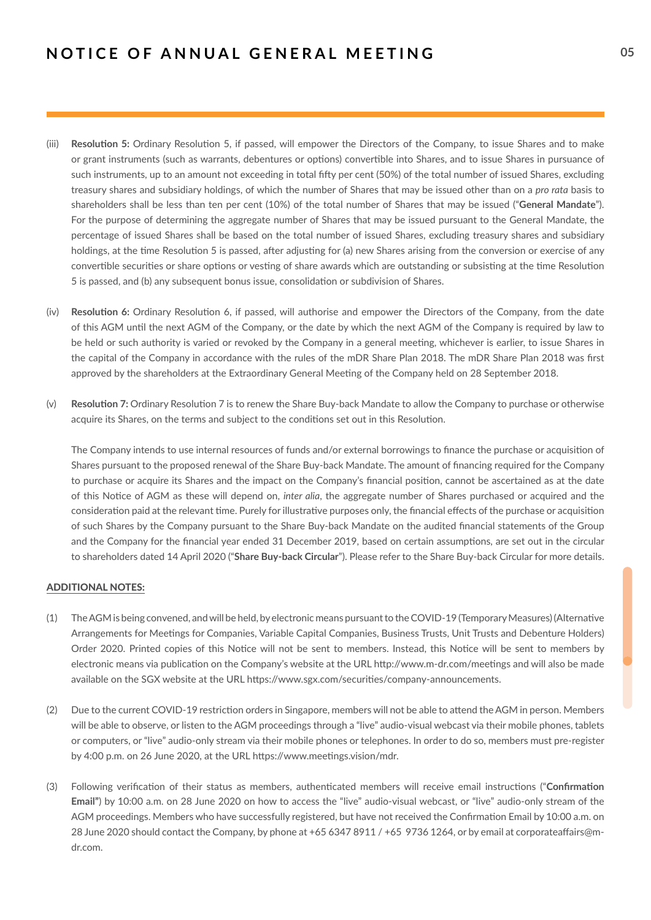- (iii) **Resolution 5:** Ordinary Resolution 5, if passed, will empower the Directors of the Company, to issue Shares and to make or grant instruments (such as warrants, debentures or options) convertible into Shares, and to issue Shares in pursuance of such instruments, up to an amount not exceeding in total fifty per cent (50%) of the total number of issued Shares, excluding treasury shares and subsidiary holdings, of which the number of Shares that may be issued other than on a *pro rata* basis to shareholders shall be less than ten per cent (10%) of the total number of Shares that may be issued ("**General Mandate**"). For the purpose of determining the aggregate number of Shares that may be issued pursuant to the General Mandate, the percentage of issued Shares shall be based on the total number of issued Shares, excluding treasury shares and subsidiary holdings, at the time Resolution 5 is passed, after adjusting for (a) new Shares arising from the conversion or exercise of any convertible securities or share options or vesting of share awards which are outstanding or subsisting at the time Resolution 5 is passed, and (b) any subsequent bonus issue, consolidation or subdivision of Shares.
- (iv) **Resolution 6:** Ordinary Resolution 6, if passed, will authorise and empower the Directors of the Company, from the date of this AGM until the next AGM of the Company, or the date by which the next AGM of the Company is required by law to be held or such authority is varied or revoked by the Company in a general meeting, whichever is earlier, to issue Shares in the capital of the Company in accordance with the rules of the mDR Share Plan 2018. The mDR Share Plan 2018 was first approved by the shareholders at the Extraordinary General Meeting of the Company held on 28 September 2018.
- (v) **Resolution 7:** Ordinary Resolution 7 is to renew the Share Buy-back Mandate to allow the Company to purchase or otherwise acquire its Shares, on the terms and subject to the conditions set out in this Resolution.

The Company intends to use internal resources of funds and/or external borrowings to finance the purchase or acquisition of Shares pursuant to the proposed renewal of the Share Buy-back Mandate. The amount of financing required for the Company to purchase or acquire its Shares and the impact on the Company's financial position, cannot be ascertained as at the date of this Notice of AGM as these will depend on, *inter alia*, the aggregate number of Shares purchased or acquired and the consideration paid at the relevant time. Purely for illustrative purposes only, the financial effects of the purchase or acquisition of such Shares by the Company pursuant to the Share Buy-back Mandate on the audited financial statements of the Group and the Company for the financial year ended 31 December 2019, based on certain assumptions, are set out in the circular to shareholders dated 14 April 2020 ("**Share Buy-back Circular**"). Please refer to the Share Buy-back Circular for more details.

### ADDITIONAL NOTES:

- (1) The AGM is being convened, and will be held, by electronic means pursuant to the COVID-19 (Temporary Measures) (Alternative Arrangements for Meetings for Companies, Variable Capital Companies, Business Trusts, Unit Trusts and Debenture Holders) Order 2020. Printed copies of this Notice will not be sent to members. Instead, this Notice will be sent to members by electronic means via publication on the Company's website at the URL http://www.m-dr.com/meetings and will also be made available on the SGX website at the URL https://www.sgx.com/securities/company-announcements.
- (2) Due to the current COVID-19 restriction orders in Singapore, members will not be able to attend the AGM in person. Members will be able to observe, or listen to the AGM proceedings through a "live" audio-visual webcast via their mobile phones, tablets or computers, or "live" audio-only stream via their mobile phones or telephones. In order to do so, members must pre-register by 4:00 p.m. on 26 June 2020, at the URL https://www.meetings.vision/mdr.
- (3) Following verification of their status as members, authenticated members will receive email instructions ("**Confirmation Email"**) by 10:00 a.m. on 28 June 2020 on how to access the "live" audio-visual webcast, or "live" audio-only stream of the AGM proceedings. Members who have successfully registered, but have not received the Confirmation Email by 10:00 a.m. on 28 June 2020 should contact the Company, by phone at +65 6347 8911 / +65 9736 1264, or by email at corporateaffairs@mdr.com.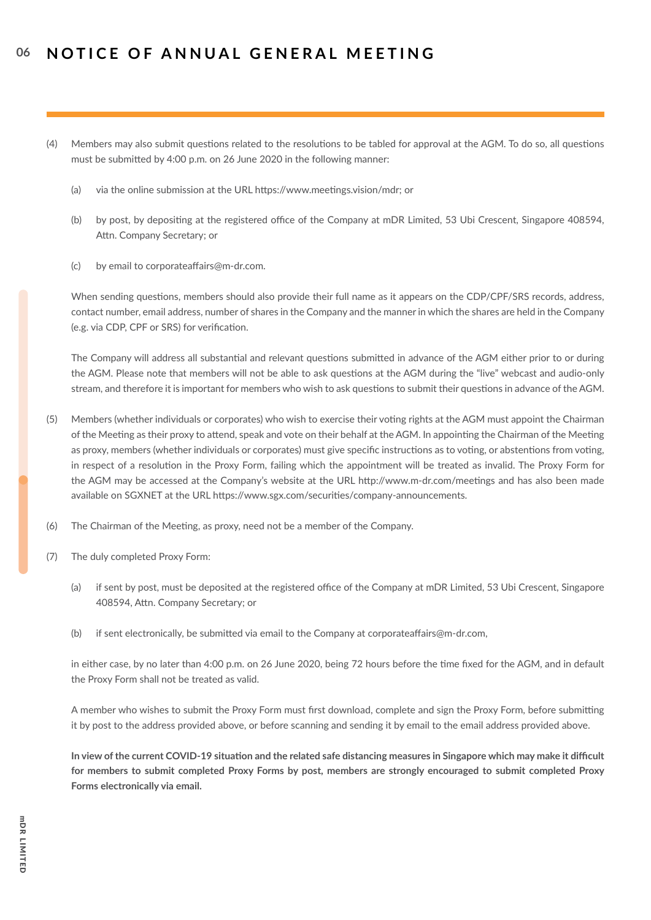- (4) Members may also submit questions related to the resolutions to be tabled for approval at the AGM. To do so, all questions must be submitted by 4:00 p.m. on 26 June 2020 in the following manner:
	- (a) via the online submission at the URL https://www.meetings.vision/mdr; or
	- (b) by post, by depositing at the registered office of the Company at mDR Limited, 53 Ubi Crescent, Singapore 408594, Attn. Company Secretary; or
	- (c) by email to corporateaffairs@m-dr.com.

When sending questions, members should also provide their full name as it appears on the CDP/CPF/SRS records, address, contact number, email address, number of shares in the Company and the manner in which the shares are held in the Company (e.g. via CDP, CPF or SRS) for verification.

The Company will address all substantial and relevant questions submitted in advance of the AGM either prior to or during the AGM. Please note that members will not be able to ask questions at the AGM during the "live" webcast and audio-only stream, and therefore it is important for members who wish to ask questions to submit their questions in advance of the AGM.

- (5) Members (whether individuals or corporates) who wish to exercise their voting rights at the AGM must appoint the Chairman of the Meeting as their proxy to attend, speak and vote on their behalf at the AGM. In appointing the Chairman of the Meeting as proxy, members (whether individuals or corporates) must give specific instructions as to voting, or abstentions from voting, in respect of a resolution in the Proxy Form, failing which the appointment will be treated as invalid. The Proxy Form for the AGM may be accessed at the Company's website at the URL http://www.m-dr.com/meetings and has also been made available on SGXNET at the URL https://www.sgx.com/securities/company-announcements.
- (6) The Chairman of the Meeting, as proxy, need not be a member of the Company.
- (7) The duly completed Proxy Form:
	- (a) if sent by post, must be deposited at the registered office of the Company at mDR Limited, 53 Ubi Crescent, Singapore 408594, Attn. Company Secretary; or
	- (b) if sent electronically, be submitted via email to the Company at corporateaffairs@m-dr.com,

in either case, by no later than 4:00 p.m. on 26 June 2020, being 72 hours before the time fixed for the AGM, and in default the Proxy Form shall not be treated as valid.

A member who wishes to submit the Proxy Form must first download, complete and sign the Proxy Form, before submitting it by post to the address provided above, or before scanning and sending it by email to the email address provided above.

**In view of the current COVID-19 situation and the related safe distancing measures in Singapore which may make it difficult for members to submit completed Proxy Forms by post, members are strongly encouraged to submit completed Proxy Forms electronically via email.**